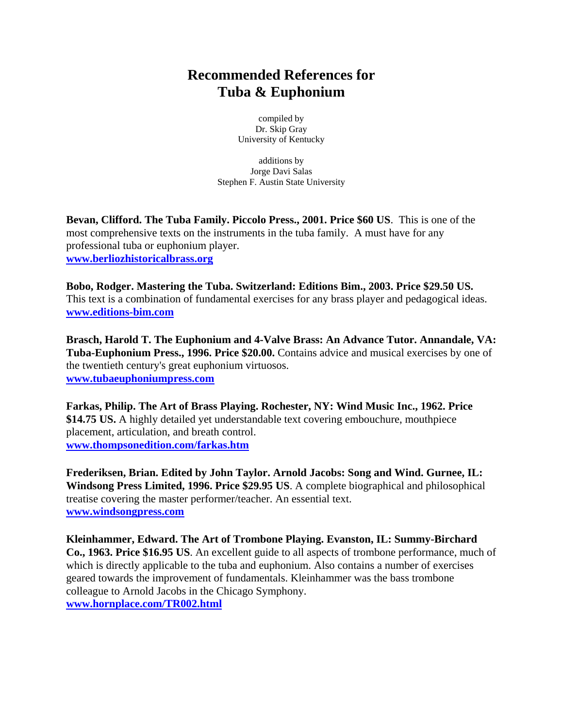## **Recommended References for Tuba & Euphonium**

compiled by Dr. Skip Gray University of Kentucky

 additions by Jorge Davi Salas Stephen F. Austin State University

**Bevan, Clifford. The Tuba Family. Piccolo Press., 2001. Price \$60 US**. This is one of the most comprehensive texts on the instruments in the tuba family. A must have for any professional tuba or euphonium player. **[www.berliozhistoricalbrass.org](http://www.berliozhistoricalbrass.org/)**

**Bobo, Rodger. Mastering the Tuba. Switzerland: Editions Bim., 2003. Price \$29.50 US.**  This text is a combination of fundamental exercises for any brass player and pedagogical ideas. **[www.editions-bim.com](http://www.editions-bim.com/)**

**Brasch, Harold T. The Euphonium and 4-Valve Brass: An Advance Tutor. Annandale, VA: Tuba-Euphonium Press., 1996. Price \$20.00.** Contains advice and musical exercises by one of the twentieth century's great euphonium virtuosos. **[www.tubaeuphoniumpress.com](http://www.tubaeuphoniumpress.com/)**

**Farkas, Philip. The Art of Brass Playing. Rochester, NY: Wind Music Inc., 1962. Price \$14.75 US.** A highly detailed yet understandable text covering embouchure, mouthpiece placement, articulation, and breath control. **[www.thompsonedition.com/farkas.htm](http://www.thompsonedition.com/farkas.htm)**

**Frederiksen, Brian. Edited by John Taylor. Arnold Jacobs: Song and Wind. Gurnee, IL: Windsong Press Limited, 1996. Price \$29.95 US**. A complete biographical and philosophical treatise covering the master performer/teacher. An essential text. **[www.windsongpress.com](http://www.windsongpress.com/)**

**Kleinhammer, Edward. The Art of Trombone Playing. Evanston, IL: Summy-Birchard Co., 1963. Price \$16.95 US**. An excellent guide to all aspects of trombone performance, much of which is directly applicable to the tuba and euphonium. Also contains a number of exercises geared towards the improvement of fundamentals. Kleinhammer was the bass trombone colleague to Arnold Jacobs in the Chicago Symphony. **www.hornplace.com/TR002.html**